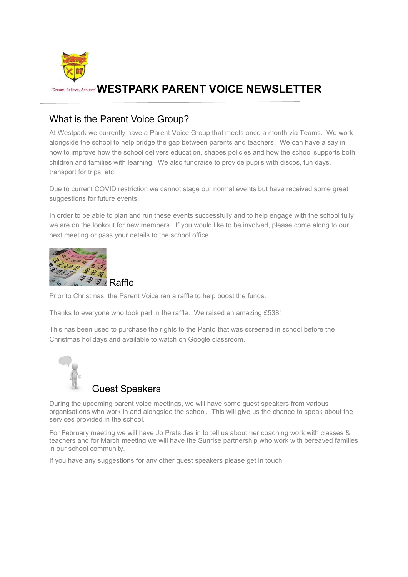

# **TDream, Believe, Achieve' WESTPARK PARENT VOICE NEWSLETTER**

### What is the Parent Voice Group?

At Westpark we currently have a Parent Voice Group that meets once a month via Teams. We work alongside the school to help bridge the gap between parents and teachers. We can have a say in how to improve how the school delivers education, shapes policies and how the school supports both children and families with learning. We also fundraise to provide pupils with discos, fun days, transport for trips, etc.

Due to current COVID restriction we cannot stage our normal events but have received some great suggestions for future events.

In order to be able to plan and run these events successfully and to help engage with the school fully we are on the lookout for new members. If you would like to be involved, please come along to our next meeting or pass your details to the school office.



Prior to Christmas, the Parent Voice ran a raffle to help boost the funds.

Thanks to everyone who took part in the raffle. We raised an amazing £538!

This has been used to purchase the rights to the Panto that was screened in school before the Christmas holidays and available to watch on Google classroom.



### Guest Speakers

During the upcoming parent voice meetings, we will have some guest speakers from various organisations who work in and alongside the school. This will give us the chance to speak about the services provided in the school.

For February meeting we will have Jo Pratsides in to tell us about her coaching work with classes & teachers and for March meeting we will have the Sunrise partnership who work with bereaved families in our school community.

If you have any suggestions for any other guest speakers please get in touch.